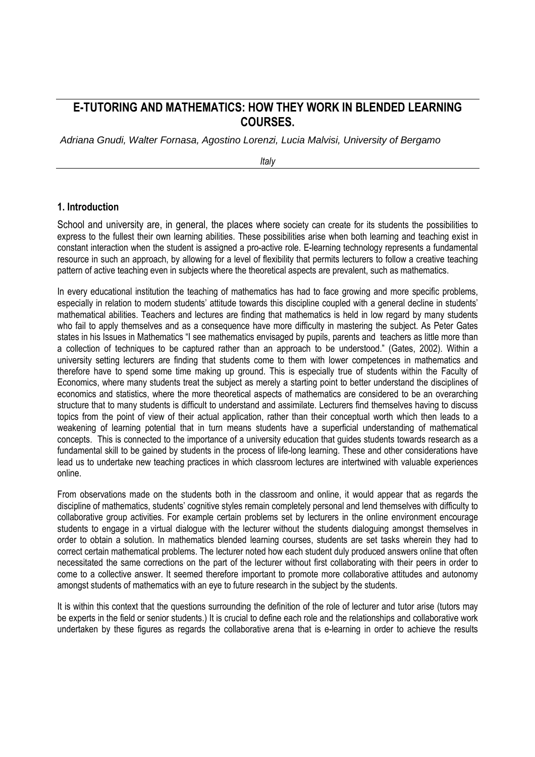# **E-TUTORING AND MATHEMATICS: HOW THEY WORK IN BLENDED LEARNING COURSES.**

Adriana Gnudi, Walter Fornasa, Agostino Lorenzi, Lucia Malvisi, University of Bergamo

*Italy* 

### **1. Introduction**

School and university are, in general, the places where society can create for its students the possibilities to express to the fullest their own learning abilities. These possibilities arise when both learning and teaching exist in constant interaction when the student is assigned a pro-active role. E-learning technology represents a fundamental resource in such an approach, by allowing for a level of flexibility that permits lecturers to follow a creative teaching pattern of active teaching even in subjects where the theoretical aspects are prevalent, such as mathematics.

In every educational institution the teaching of mathematics has had to face growing and more specific problems, especially in relation to modern students' attitude towards this discipline coupled with a general decline in students' mathematical abilities. Teachers and lectures are finding that mathematics is held in low regard by many students who fail to apply themselves and as a consequence have more difficulty in mastering the subject. As Peter Gates states in his Issues in Mathematics "I see mathematics envisaged by pupils, parents and teachers as little more than a collection of techniques to be captured rather than an approach to be understood." (Gates, 2002). Within a university setting lecturers are finding that students come to them with lower competences in mathematics and therefore have to spend some time making up ground. This is especially true of students within the Faculty of Economics, where many students treat the subject as merely a starting point to better understand the disciplines of economics and statistics, where the more theoretical aspects of mathematics are considered to be an overarching structure that to many students is difficult to understand and assimilate. Lecturers find themselves having to discuss topics from the point of view of their actual application, rather than their conceptual worth which then leads to a weakening of learning potential that in turn means students have a superficial understanding of mathematical concepts. This is connected to the importance of a university education that guides students towards research as a fundamental skill to be gained by students in the process of life-long learning. These and other considerations have lead us to undertake new teaching practices in which classroom lectures are intertwined with valuable experiences online.

From observations made on the students both in the classroom and online, it would appear that as regards the discipline of mathematics, students' cognitive styles remain completely personal and lend themselves with difficulty to collaborative group activities. For example certain problems set by lecturers in the online environment encourage students to engage in a virtual dialogue with the lecturer without the students dialoguing amongst themselves in order to obtain a solution. In mathematics blended learning courses, students are set tasks wherein they had to correct certain mathematical problems. The lecturer noted how each student duly produced answers online that often necessitated the same corrections on the part of the lecturer without first collaborating with their peers in order to come to a collective answer. It seemed therefore important to promote more collaborative attitudes and autonomy amongst students of mathematics with an eye to future research in the subject by the students.

It is within this context that the questions surrounding the definition of the role of lecturer and tutor arise (tutors may be experts in the field or senior students.) It is crucial to define each role and the relationships and collaborative work undertaken by these figures as regards the collaborative arena that is e-learning in order to achieve the results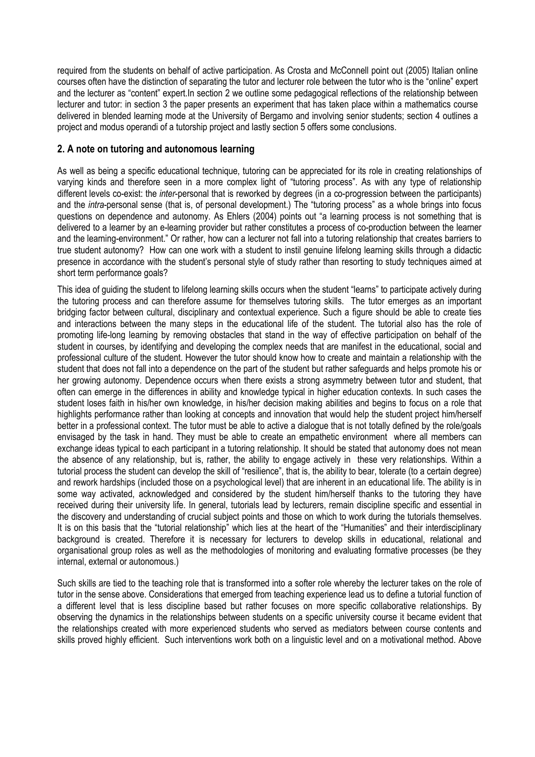required from the students on behalf of active participation. As Crosta and McConnell point out (2005) Italian online courses often have the distinction of separating the tutor and lecturer role between the tutor who is the "online" expert and the lecturer as "content" expert.In section 2 we outline some pedagogical reflections of the relationship between lecturer and tutor: in section 3 the paper presents an experiment that has taken place within a mathematics course delivered in blended learning mode at the University of Bergamo and involving senior students; section 4 outlines a project and modus operandi of a tutorship project and lastly section 5 offers some conclusions.

### **2. A note on tutoring and autonomous learning**

As well as being a specific educational technique, tutoring can be appreciated for its role in creating relationships of varying kinds and therefore seen in a more complex light of "tutoring process". As with any type of relationship different levels co-exist: the *inter*-personal that is reworked by degrees (in a co-progression between the participants) and the *intra*-personal sense (that is, of personal development.) The "tutoring process" as a whole brings into focus questions on dependence and autonomy. As Ehlers (2004) points out "a learning process is not something that is delivered to a learner by an e-learning provider but rather constitutes a process of co-production between the learner and the learning-environment." Or rather, how can a lecturer not fall into a tutoring relationship that creates barriers to true student autonomy? How can one work with a student to instil genuine lifelong learning skills through a didactic presence in accordance with the student's personal style of study rather than resorting to study techniques aimed at short term performance goals?

This idea of guiding the student to lifelong learning skills occurs when the student "learns" to participate actively during the tutoring process and can therefore assume for themselves tutoring skills. The tutor emerges as an important bridging factor between cultural, disciplinary and contextual experience. Such a figure should be able to create ties and interactions between the many steps in the educational life of the student. The tutorial also has the role of promoting life-long learning by removing obstacles that stand in the way of effective participation on behalf of the student in courses, by identifying and developing the complex needs that are manifest in the educational, social and professional culture of the student. However the tutor should know how to create and maintain a relationship with the student that does not fall into a dependence on the part of the student but rather safeguards and helps promote his or her growing autonomy. Dependence occurs when there exists a strong asymmetry between tutor and student, that often can emerge in the differences in ability and knowledge typical in higher education contexts. In such cases the student loses faith in his/her own knowledge, in his/her decision making abilities and begins to focus on a role that highlights performance rather than looking at concepts and innovation that would help the student project him/herself better in a professional context. The tutor must be able to active a dialogue that is not totally defined by the role/goals envisaged by the task in hand. They must be able to create an empathetic environment where all members can exchange ideas typical to each participant in a tutoring relationship. It should be stated that autonomy does not mean the absence of any relationship, but is, rather, the ability to engage actively in these very relationships. Within a tutorial process the student can develop the skill of "resilience", that is, the ability to bear, tolerate (to a certain degree) and rework hardships (included those on a psychological level) that are inherent in an educational life. The ability is in some way activated, acknowledged and considered by the student him/herself thanks to the tutoring they have received during their university life. In general, tutorials lead by lecturers, remain discipline specific and essential in the discovery and understanding of crucial subject points and those on which to work during the tutorials themselves. It is on this basis that the "tutorial relationship" which lies at the heart of the "Humanities" and their interdisciplinary background is created. Therefore it is necessary for lecturers to develop skills in educational, relational and organisational group roles as well as the methodologies of monitoring and evaluating formative processes (be they internal, external or autonomous.)

Such skills are tied to the teaching role that is transformed into a softer role whereby the lecturer takes on the role of tutor in the sense above. Considerations that emerged from teaching experience lead us to define a tutorial function of a different level that is less discipline based but rather focuses on more specific collaborative relationships. By observing the dynamics in the relationships between students on a specific university course it became evident that the relationships created with more experienced students who served as mediators between course contents and skills proved highly efficient. Such interventions work both on a linguistic level and on a motivational method. Above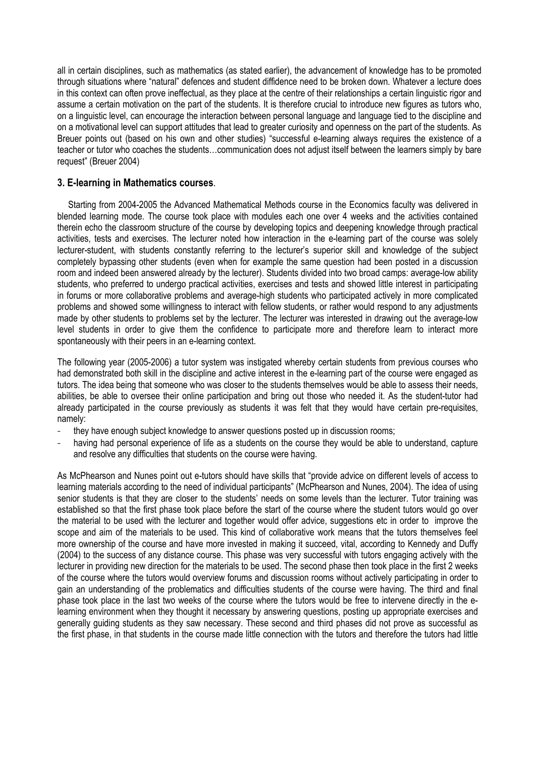all in certain disciplines, such as mathematics (as stated earlier), the advancement of knowledge has to be promoted through situations where "natural" defences and student diffidence need to be broken down. Whatever a lecture does in this context can often prove ineffectual, as they place at the centre of their relationships a certain linguistic rigor and assume a certain motivation on the part of the students. It is therefore crucial to introduce new figures as tutors who, on a linguistic level, can encourage the interaction between personal language and language tied to the discipline and on a motivational level can support attitudes that lead to greater curiosity and openness on the part of the students. As Breuer points out (based on his own and other studies) "successful e-learning always requires the existence of a teacher or tutor who coaches the students…communication does not adjust itself between the learners simply by bare request" (Breuer 2004)

### **3. E-learning in Mathematics courses**.

Starting from 2004-2005 the Advanced Mathematical Methods course in the Economics faculty was delivered in blended learning mode. The course took place with modules each one over 4 weeks and the activities contained therein echo the classroom structure of the course by developing topics and deepening knowledge through practical activities, tests and exercises. The lecturer noted how interaction in the e-learning part of the course was solely lecturer-student, with students constantly referring to the lecturer's superior skill and knowledge of the subject completely bypassing other students (even when for example the same question had been posted in a discussion room and indeed been answered already by the lecturer). Students divided into two broad camps: average-low ability students, who preferred to undergo practical activities, exercises and tests and showed little interest in participating in forums or more collaborative problems and average-high students who participated actively in more complicated problems and showed some willingness to interact with fellow students, or rather would respond to any adjustments made by other students to problems set by the lecturer. The lecturer was interested in drawing out the average-low level students in order to give them the confidence to participate more and therefore learn to interact more spontaneously with their peers in an e-learning context.

The following year (2005-2006) a tutor system was instigated whereby certain students from previous courses who had demonstrated both skill in the discipline and active interest in the e-learning part of the course were engaged as tutors. The idea being that someone who was closer to the students themselves would be able to assess their needs, abilities, be able to oversee their online participation and bring out those who needed it. As the student-tutor had already participated in the course previously as students it was felt that they would have certain pre-requisites, namely:

- they have enough subject knowledge to answer questions posted up in discussion rooms;
- having had personal experience of life as a students on the course they would be able to understand, capture and resolve any difficulties that students on the course were having.

As McPhearson and Nunes point out e-tutors should have skills that "provide advice on different levels of access to learning materials according to the need of individual participants" (McPhearson and Nunes, 2004). The idea of using senior students is that they are closer to the students' needs on some levels than the lecturer. Tutor training was established so that the first phase took place before the start of the course where the student tutors would go over the material to be used with the lecturer and together would offer advice, suggestions etc in order to improve the scope and aim of the materials to be used. This kind of collaborative work means that the tutors themselves feel more ownership of the course and have more invested in making it succeed, vital, according to Kennedy and Duffy (2004) to the success of any distance course. This phase was very successful with tutors engaging actively with the lecturer in providing new direction for the materials to be used. The second phase then took place in the first 2 weeks of the course where the tutors would overview forums and discussion rooms without actively participating in order to gain an understanding of the problematics and difficulties students of the course were having. The third and final phase took place in the last two weeks of the course where the tutors would be free to intervene directly in the elearning environment when they thought it necessary by answering questions, posting up appropriate exercises and generally guiding students as they saw necessary. These second and third phases did not prove as successful as the first phase, in that students in the course made little connection with the tutors and therefore the tutors had little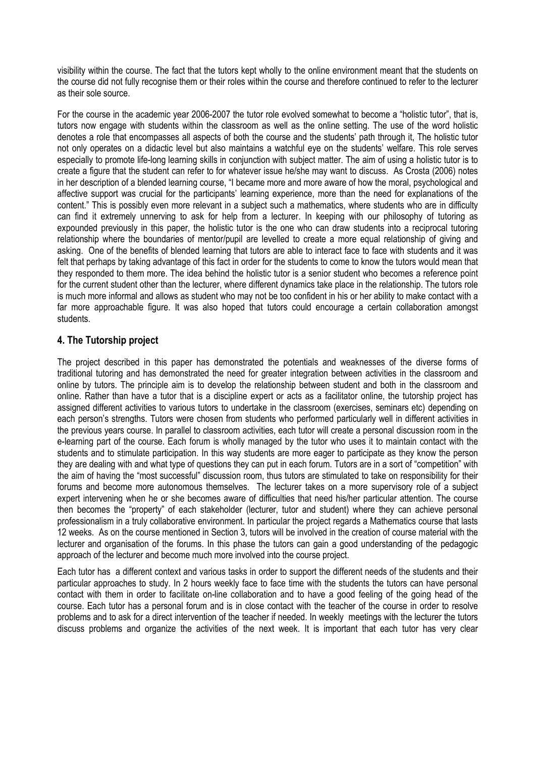visibility within the course. The fact that the tutors kept wholly to the online environment meant that the students on the course did not fully recognise them or their roles within the course and therefore continued to refer to the lecturer as their sole source.

For the course in the academic year 2006-2007 the tutor role evolved somewhat to become a "holistic tutor", that is, tutors now engage with students within the classroom as well as the online setting. The use of the word holistic denotes a role that encompasses all aspects of both the course and the students' path through it, The holistic tutor not only operates on a didactic level but also maintains a watchful eye on the students' welfare. This role serves especially to promote life-long learning skills in conjunction with subject matter. The aim of using a holistic tutor is to create a figure that the student can refer to for whatever issue he/she may want to discuss. As Crosta (2006) notes in her description of a blended learning course, "I became more and more aware of how the moral, psychological and affective support was crucial for the participants' learning experience, more than the need for explanations of the content." This is possibly even more relevant in a subject such a mathematics, where students who are in difficulty can find it extremely unnerving to ask for help from a lecturer. In keeping with our philosophy of tutoring as expounded previously in this paper, the holistic tutor is the one who can draw students into a reciprocal tutoring relationship where the boundaries of mentor/pupil are levelled to create a more equal relationship of giving and asking. One of the benefits of blended learning that tutors are able to interact face to face with students and it was felt that perhaps by taking advantage of this fact in order for the students to come to know the tutors would mean that they responded to them more. The idea behind the holistic tutor is a senior student who becomes a reference point for the current student other than the lecturer, where different dynamics take place in the relationship. The tutors role is much more informal and allows as student who may not be too confident in his or her ability to make contact with a far more approachable figure. It was also hoped that tutors could encourage a certain collaboration amongst students.

### **4. The Tutorship project**

The project described in this paper has demonstrated the potentials and weaknesses of the diverse forms of traditional tutoring and has demonstrated the need for greater integration between activities in the classroom and online by tutors. The principle aim is to develop the relationship between student and both in the classroom and online. Rather than have a tutor that is a discipline expert or acts as a facilitator online, the tutorship project has assigned different activities to various tutors to undertake in the classroom (exercises, seminars etc) depending on each person's strengths. Tutors were chosen from students who performed particularly well in different activities in the previous years course. In parallel to classroom activities, each tutor will create a personal discussion room in the e-learning part of the course. Each forum is wholly managed by the tutor who uses it to maintain contact with the students and to stimulate participation. In this way students are more eager to participate as they know the person they are dealing with and what type of questions they can put in each forum. Tutors are in a sort of "competition" with the aim of having the "most successful" discussion room, thus tutors are stimulated to take on responsibility for their forums and become more autonomous themselves. The lecturer takes on a more supervisory role of a subject expert intervening when he or she becomes aware of difficulties that need his/her particular attention. The course then becomes the "property" of each stakeholder (lecturer, tutor and student) where they can achieve personal professionalism in a truly collaborative environment. In particular the project regards a Mathematics course that lasts 12 weeks. As on the course mentioned in Section 3, tutors will be involved in the creation of course material with the lecturer and organisation of the forums. In this phase the tutors can gain a good understanding of the pedagogic approach of the lecturer and become much more involved into the course project.

Each tutor has a different context and various tasks in order to support the different needs of the students and their particular approaches to study. In 2 hours weekly face to face time with the students the tutors can have personal contact with them in order to facilitate on-line collaboration and to have a good feeling of the going head of the course. Each tutor has a personal forum and is in close contact with the teacher of the course in order to resolve problems and to ask for a direct intervention of the teacher if needed. In weekly meetings with the lecturer the tutors discuss problems and organize the activities of the next week. It is important that each tutor has very clear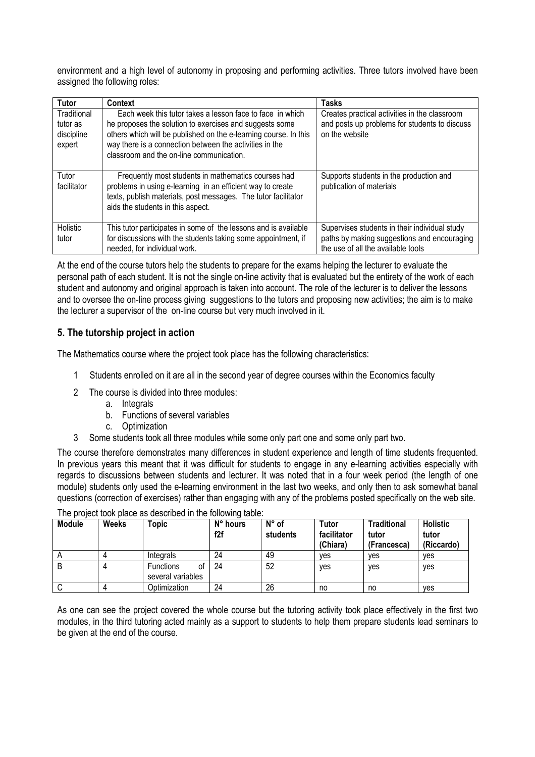environment and a high level of autonomy in proposing and performing activities. Three tutors involved have been assigned the following roles:

| Tutor                                           | <b>Context</b>                                                                                                                                                                                                                                                                                  | Tasks                                                                                                                              |
|-------------------------------------------------|-------------------------------------------------------------------------------------------------------------------------------------------------------------------------------------------------------------------------------------------------------------------------------------------------|------------------------------------------------------------------------------------------------------------------------------------|
| Traditional<br>tutor as<br>discipline<br>expert | Each week this tutor takes a lesson face to face in which<br>he proposes the solution to exercises and suggests some<br>others which will be published on the e-learning course. In this<br>way there is a connection between the activities in the<br>classroom and the on-line communication. | Creates practical activities in the classroom<br>and posts up problems for students to discuss<br>on the website                   |
| Tutor<br>facilitator                            | Frequently most students in mathematics courses had<br>problems in using e-learning in an efficient way to create<br>texts, publish materials, post messages. The tutor facilitator<br>aids the students in this aspect.                                                                        | Supports students in the production and<br>publication of materials                                                                |
| Holistic<br>tutor                               | This tutor participates in some of the lessons and is available<br>for discussions with the students taking some appointment, if<br>needed, for individual work.                                                                                                                                | Supervises students in their individual study<br>paths by making suggestions and encouraging<br>the use of all the available tools |

At the end of the course tutors help the students to prepare for the exams helping the lecturer to evaluate the personal path of each student. It is not the single on-line activity that is evaluated but the entirety of the work of each student and autonomy and original approach is taken into account. The role of the lecturer is to deliver the lessons and to oversee the on-line process giving suggestions to the tutors and proposing new activities; the aim is to make the lecturer a supervisor of the on-line course but very much involved in it.

### **5. The tutorship project in action**

The Mathematics course where the project took place has the following characteristics:

- 1 Students enrolled on it are all in the second year of degree courses within the Economics faculty
- 2 The course is divided into three modules:
	- a. Integrals
	- b. Functions of several variables
	- c. Optimization
- 3 Some students took all three modules while some only part one and some only part two.

The course therefore demonstrates many differences in student experience and length of time students frequented. In previous years this meant that it was difficult for students to engage in any e-learning activities especially with regards to discussions between students and lecturer. It was noted that in a four week period (the length of one module) students only used the e-learning environment in the last two weeks, and only then to ask somewhat banal questions (correction of exercises) rather than engaging with any of the problems posted specifically on the web site.

| <b>Module</b> | <b>Weeks</b> | Topic                                       | N° hours<br>f <sub>2f</sub> | $N^{\circ}$ of<br>students | Tutor<br>facilitator<br>(Chiara) | <b>Traditional</b><br>tutor<br>(Francesca) | <b>Holistic</b><br>tutor<br>(Riccardo) |
|---------------|--------------|---------------------------------------------|-----------------------------|----------------------------|----------------------------------|--------------------------------------------|----------------------------------------|
|               |              | Integrals                                   | 24                          | 49                         | ves                              | ves                                        | <b>ves</b>                             |
|               |              | <b>Functions</b><br>οt<br>several variables | 24                          | 52                         | ves                              | yes                                        | yes                                    |
| ◡             |              | Optimization                                | 24                          | 26                         | no                               | no                                         | <b>ves</b>                             |

### The project took place as described in the following table:

As one can see the project covered the whole course but the tutoring activity took place effectively in the first two modules, in the third tutoring acted mainly as a support to students to help them prepare students lead seminars to be given at the end of the course.